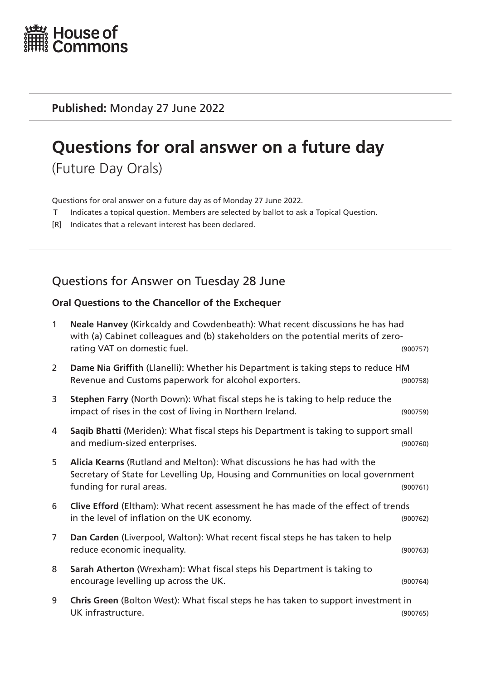

**Published:** Monday 27 June 2022

# **Questions for oral answer on a future day**

(Future Day Orals)

Questions for oral answer on a future day as of Monday 27 June 2022.

- T Indicates a topical question. Members are selected by ballot to ask a Topical Question.
- [R] Indicates that a relevant interest has been declared.

# Questions for Answer on Tuesday 28 June

## **Oral Questions to the Chancellor of the Exchequer**

| $\mathbf{1}$   | Neale Hanvey (Kirkcaldy and Cowdenbeath): What recent discussions he has had<br>with (a) Cabinet colleagues and (b) stakeholders on the potential merits of zero-<br>rating VAT on domestic fuel. | (900757) |
|----------------|---------------------------------------------------------------------------------------------------------------------------------------------------------------------------------------------------|----------|
| 2              | Dame Nia Griffith (Llanelli): Whether his Department is taking steps to reduce HM<br>Revenue and Customs paperwork for alcohol exporters.                                                         | (900758) |
| 3              | Stephen Farry (North Down): What fiscal steps he is taking to help reduce the<br>impact of rises in the cost of living in Northern Ireland.                                                       | (900759) |
| 4              | Saqib Bhatti (Meriden): What fiscal steps his Department is taking to support small<br>and medium-sized enterprises.                                                                              | (900760) |
| 5              | Alicia Kearns (Rutland and Melton): What discussions he has had with the<br>Secretary of State for Levelling Up, Housing and Communities on local government<br>funding for rural areas.          | (900761) |
| 6              | Clive Efford (Eltham): What recent assessment he has made of the effect of trends<br>in the level of inflation on the UK economy.                                                                 | (900762) |
| $\overline{7}$ | Dan Carden (Liverpool, Walton): What recent fiscal steps he has taken to help<br>reduce economic inequality.                                                                                      | (900763) |
| 8              | Sarah Atherton (Wrexham): What fiscal steps his Department is taking to<br>encourage levelling up across the UK.                                                                                  | (900764) |
| 9              | Chris Green (Bolton West): What fiscal steps he has taken to support investment in<br>UK infrastructure.                                                                                          | (900765) |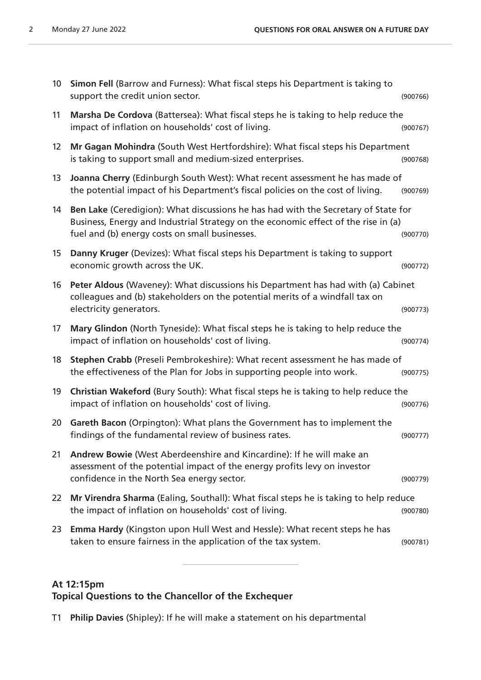| 10 <sup>°</sup> | Simon Fell (Barrow and Furness): What fiscal steps his Department is taking to<br>support the credit union sector.                                                                                                         | (900766) |
|-----------------|----------------------------------------------------------------------------------------------------------------------------------------------------------------------------------------------------------------------------|----------|
| 11              | Marsha De Cordova (Battersea): What fiscal steps he is taking to help reduce the<br>impact of inflation on households' cost of living.                                                                                     | (900767) |
| 12              | Mr Gagan Mohindra (South West Hertfordshire): What fiscal steps his Department<br>is taking to support small and medium-sized enterprises.                                                                                 | (900768) |
| 13              | Joanna Cherry (Edinburgh South West): What recent assessment he has made of<br>the potential impact of his Department's fiscal policies on the cost of living.                                                             | (900769) |
| 14              | Ben Lake (Ceredigion): What discussions he has had with the Secretary of State for<br>Business, Energy and Industrial Strategy on the economic effect of the rise in (a)<br>fuel and (b) energy costs on small businesses. | (900770) |
| 15              | Danny Kruger (Devizes): What fiscal steps his Department is taking to support<br>economic growth across the UK.                                                                                                            | (900772) |
| 16              | Peter Aldous (Waveney): What discussions his Department has had with (a) Cabinet<br>colleagues and (b) stakeholders on the potential merits of a windfall tax on<br>electricity generators.                                | (900773) |
| 17              | Mary Glindon (North Tyneside): What fiscal steps he is taking to help reduce the<br>impact of inflation on households' cost of living.                                                                                     | (900774) |
| 18              | Stephen Crabb (Preseli Pembrokeshire): What recent assessment he has made of<br>the effectiveness of the Plan for Jobs in supporting people into work.                                                                     | (900775) |
| 19              | Christian Wakeford (Bury South): What fiscal steps he is taking to help reduce the<br>impact of inflation on households' cost of living.                                                                                   | (900776) |
| 20              | Gareth Bacon (Orpington): What plans the Government has to implement the<br>findings of the fundamental review of business rates.                                                                                          | (900777) |
| 21              | Andrew Bowie (West Aberdeenshire and Kincardine): If he will make an<br>assessment of the potential impact of the energy profits levy on investor<br>confidence in the North Sea energy sector.                            | (900779) |
| 22              | Mr Virendra Sharma (Ealing, Southall): What fiscal steps he is taking to help reduce                                                                                                                                       |          |
|                 | the impact of inflation on households' cost of living.                                                                                                                                                                     | (900780) |
| 23              | <b>Emma Hardy</b> (Kingston upon Hull West and Hessle): What recent steps he has<br>taken to ensure fairness in the application of the tax system.                                                                         | (900781) |

#### **At 12:15pm**

### **Topical Questions to the Chancellor of the Exchequer**

T1 **Philip Davies** (Shipley): If he will make a statement on his departmental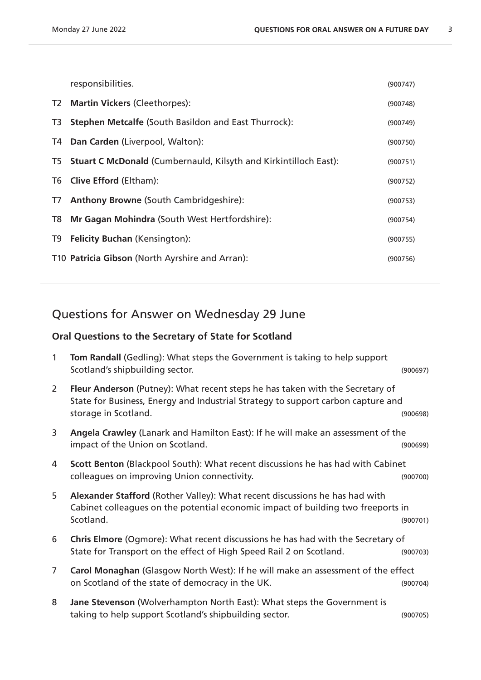|    | responsibilities.                                                   | (900747) |
|----|---------------------------------------------------------------------|----------|
| T2 | <b>Martin Vickers (Cleethorpes):</b>                                | (900748) |
| T3 | <b>Stephen Metcalfe (South Basildon and East Thurrock):</b>         | (900749) |
|    | T4 Dan Carden (Liverpool, Walton):                                  | (900750) |
|    | T5 Stuart C McDonald (Cumbernauld, Kilsyth and Kirkintilloch East): | (900751) |
|    | T6 Clive Efford (Eltham):                                           | (900752) |
| T7 | <b>Anthony Browne (South Cambridgeshire):</b>                       | (900753) |
| T8 | Mr Gagan Mohindra (South West Hertfordshire):                       | (900754) |
|    | T9 Felicity Buchan (Kensington):                                    | (900755) |
|    | T10 Patricia Gibson (North Ayrshire and Arran):                     | (900756) |

# Questions for Answer on Wednesday 29 June

## **Oral Questions to the Secretary of State for Scotland**

| 1              | <b>Tom Randall (Gedling): What steps the Government is taking to help support</b><br>Scotland's shipbuilding sector.                                                                      | (900697) |
|----------------|-------------------------------------------------------------------------------------------------------------------------------------------------------------------------------------------|----------|
| $\mathbf{2}$   | Fleur Anderson (Putney): What recent steps he has taken with the Secretary of<br>State for Business, Energy and Industrial Strategy to support carbon capture and<br>storage in Scotland. | (900698) |
| 3              | Angela Crawley (Lanark and Hamilton East): If he will make an assessment of the<br>impact of the Union on Scotland.                                                                       | (900699) |
| 4              | Scott Benton (Blackpool South): What recent discussions he has had with Cabinet<br>colleagues on improving Union connectivity.                                                            | (900700) |
| 5              | Alexander Stafford (Rother Valley): What recent discussions he has had with<br>Cabinet colleagues on the potential economic impact of building two freeports in<br>Scotland.              | (900701) |
| 6              | Chris Elmore (Ogmore): What recent discussions he has had with the Secretary of<br>State for Transport on the effect of High Speed Rail 2 on Scotland.                                    | (900703) |
| $\overline{7}$ | Carol Monaghan (Glasgow North West): If he will make an assessment of the effect<br>on Scotland of the state of democracy in the UK.                                                      | (900704) |
| 8              | Jane Stevenson (Wolverhampton North East): What steps the Government is<br>taking to help support Scotland's shipbuilding sector.                                                         | (900705) |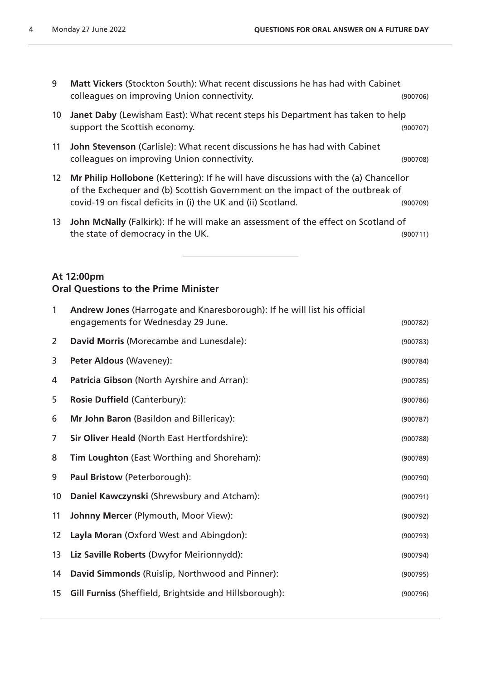| <b>Matt Vickers (Stockton South): What recent discussions he has had with Cabinet</b> |          |
|---------------------------------------------------------------------------------------|----------|
| colleagues on improving Union connectivity.                                           | (900706) |

- **Janet Daby** (Lewisham East): What recent steps his Department has taken to help support the Scottish economy. The support of the Scottish economy.
- **John Stevenson** (Carlisle): What recent discussions he has had with Cabinet colleagues on improving Union connectivity. (900708)
- **Mr Philip Hollobone** (Kettering): If he will have discussions with the (a) Chancellor of the Exchequer and (b) Scottish Government on the impact of the outbreak of covid-19 on fiscal deficits in (i) the UK and (ii) Scotland. (900709)
- **John McNally** (Falkirk): If he will make an assessment of the effect on Scotland of the state of democracy in the UK. (900711)

#### **At 12:00pm Oral Questions to the Prime Minister**

| $\mathbf{1}$      | Andrew Jones (Harrogate and Knaresborough): If he will list his official<br>engagements for Wednesday 29 June. | (900782) |
|-------------------|----------------------------------------------------------------------------------------------------------------|----------|
| 2                 | David Morris (Morecambe and Lunesdale):                                                                        | (900783) |
| 3                 | Peter Aldous (Waveney):                                                                                        | (900784) |
| 4                 | Patricia Gibson (North Ayrshire and Arran):                                                                    | (900785) |
| 5                 | Rosie Duffield (Canterbury):                                                                                   | (900786) |
| 6                 | Mr John Baron (Basildon and Billericay):                                                                       | (900787) |
| 7                 | Sir Oliver Heald (North East Hertfordshire):                                                                   | (900788) |
| 8                 | Tim Loughton (East Worthing and Shoreham):                                                                     | (900789) |
| 9                 | Paul Bristow (Peterborough):                                                                                   | (900790) |
| 10                | Daniel Kawczynski (Shrewsbury and Atcham):                                                                     | (900791) |
| 11                | Johnny Mercer (Plymouth, Moor View):                                                                           | (900792) |
| $12 \overline{ }$ | Layla Moran (Oxford West and Abingdon):                                                                        | (900793) |
| 13                | Liz Saville Roberts (Dwyfor Meirionnydd):                                                                      | (900794) |
| 14                | David Simmonds (Ruislip, Northwood and Pinner):                                                                | (900795) |
| 15                | <b>Gill Furniss (Sheffield, Brightside and Hillsborough):</b>                                                  | (900796) |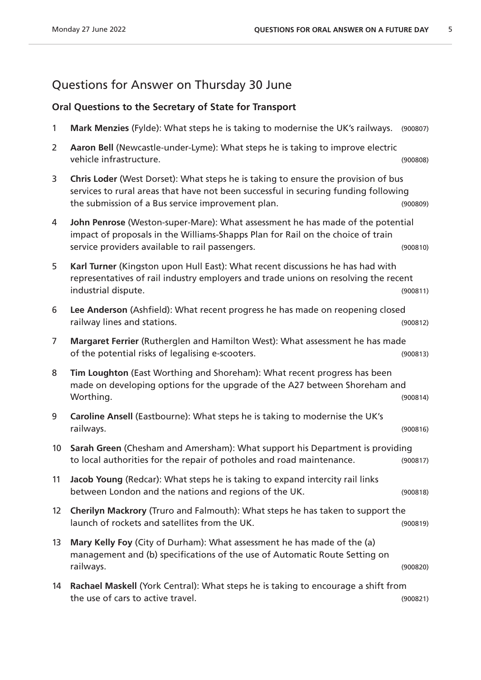# Questions for Answer on Thursday 30 June

## **Oral Questions to the Secretary of State for Transport**

| 1               | Mark Menzies (Fylde): What steps he is taking to modernise the UK's railways.                                                                                                                                                 | (900807) |
|-----------------|-------------------------------------------------------------------------------------------------------------------------------------------------------------------------------------------------------------------------------|----------|
| $\overline{2}$  | Aaron Bell (Newcastle-under-Lyme): What steps he is taking to improve electric<br>vehicle infrastructure.                                                                                                                     | (900808) |
| 3               | Chris Loder (West Dorset): What steps he is taking to ensure the provision of bus<br>services to rural areas that have not been successful in securing funding following<br>the submission of a Bus service improvement plan. | (900809) |
| 4               | John Penrose (Weston-super-Mare): What assessment he has made of the potential<br>impact of proposals in the Williams-Shapps Plan for Rail on the choice of train<br>service providers available to rail passengers.          | (900810) |
| 5               | Karl Turner (Kingston upon Hull East): What recent discussions he has had with<br>representatives of rail industry employers and trade unions on resolving the recent<br>industrial dispute.                                  | (900811) |
| 6               | Lee Anderson (Ashfield): What recent progress he has made on reopening closed<br>railway lines and stations.                                                                                                                  | (900812) |
| $\overline{7}$  | Margaret Ferrier (Rutherglen and Hamilton West): What assessment he has made<br>of the potential risks of legalising e-scooters.                                                                                              | (900813) |
| 8               | Tim Loughton (East Worthing and Shoreham): What recent progress has been<br>made on developing options for the upgrade of the A27 between Shoreham and<br>Worthing.                                                           | (900814) |
| 9               | Caroline Ansell (Eastbourne): What steps he is taking to modernise the UK's<br>railways.                                                                                                                                      | (900816) |
| 10              | Sarah Green (Chesham and Amersham): What support his Department is providing<br>to local authorities for the repair of potholes and road maintenance.                                                                         | (900817) |
| 11              | Jacob Young (Redcar): What steps he is taking to expand intercity rail links<br>between London and the nations and regions of the UK.                                                                                         | (900818) |
| 12 <sup>2</sup> | Cherilyn Mackrory (Truro and Falmouth): What steps he has taken to support the<br>launch of rockets and satellites from the UK.                                                                                               | (900819) |
| 13              | Mary Kelly Foy (City of Durham): What assessment he has made of the (a)<br>management and (b) specifications of the use of Automatic Route Setting on<br>railways.                                                            | (900820) |
| 14              | Rachael Maskell (York Central): What steps he is taking to encourage a shift from<br>the use of cars to active travel.                                                                                                        | (900821) |